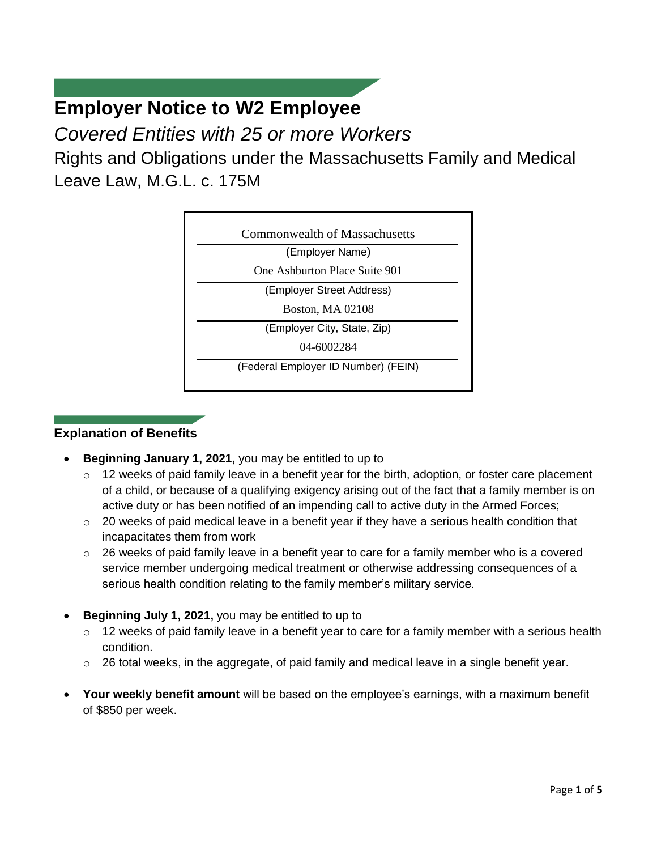# **Employer Notice to W2 Employee**

*Covered Entities with 25 or more Workers*

Rights and Obligations under the Massachusetts Family and Medical Leave Law, M.G.L. c. 175M



## **Explanation of Benefits**

- **Beginning January 1, 2021,** you may be entitled to up to
	- o 12 weeks of paid family leave in a benefit year for the birth, adoption, or foster care placement of a child, or because of a qualifying exigency arising out of the fact that a family member is on active duty or has been notified of an impending call to active duty in the Armed Forces;
	- $\circ$  20 weeks of paid medical leave in a benefit year if they have a serious health condition that incapacitates them from work
	- $\circ$  26 weeks of paid family leave in a benefit year to care for a family member who is a covered service member undergoing medical treatment or otherwise addressing consequences of a serious health condition relating to the family member's military service.
- **Beginning July 1, 2021,** you may be entitled to up to
	- o 12 weeks of paid family leave in a benefit year to care for a family member with a serious health condition.
	- $\circ$  26 total weeks, in the aggregate, of paid family and medical leave in a single benefit year.
- **Your weekly benefit amount** will be based on the employee's earnings, with a maximum benefit of \$850 per week.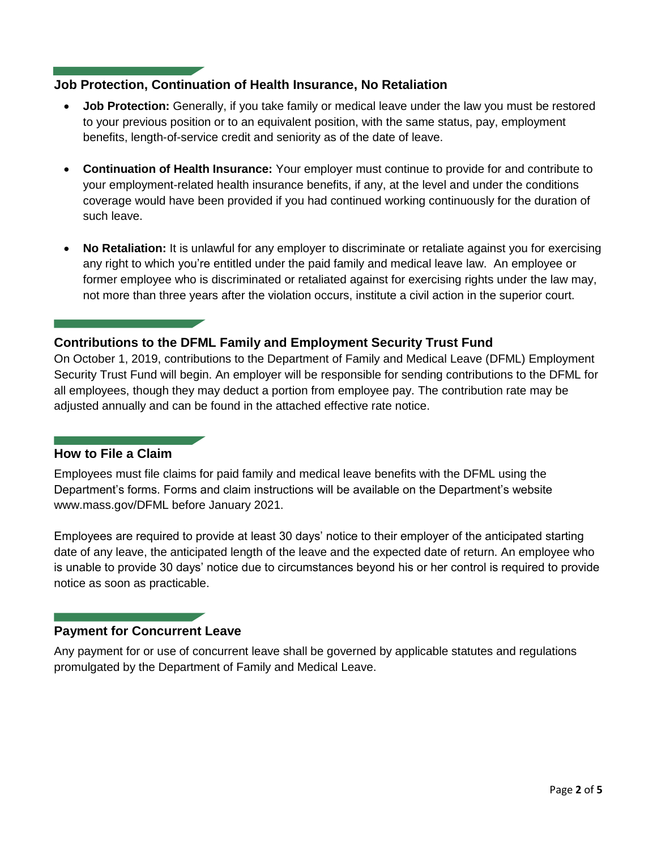### **Job Protection, Continuation of Health Insurance, No Retaliation**

- **Job Protection:** Generally, if you take family or medical leave under the law you must be restored to your previous position or to an equivalent position, with the same status, pay, employment benefits, length-of-service credit and seniority as of the date of leave.
- **Continuation of Health Insurance:** Your employer must continue to provide for and contribute to your employment-related health insurance benefits, if any, at the level and under the conditions coverage would have been provided if you had continued working continuously for the duration of such leave.
- No Retaliation: It is unlawful for any employer to discriminate or retaliate against you for exercising any right to which you're entitled under the paid family and medical leave law. An employee or former employee who is discriminated or retaliated against for exercising rights under the law may, not more than three years after the violation occurs, institute a civil action in the superior court.

## **Contributions to the DFML Family and Employment Security Trust Fund**

On October 1, 2019, contributions to the Department of Family and Medical Leave (DFML) Employment Security Trust Fund will begin. An employer will be responsible for sending contributions to the DFML for all employees, though they may deduct a portion from employee pay. The contribution rate may be adjusted annually and can be found in the attached effective rate notice.

## **How to File a Claim**

Employees must file claims for paid family and medical leave benefits with the DFML using the Department's forms. Forms and claim instructions will be available on the Department's website www.mass.gov/DFML before January 2021.

Employees are required to provide at least 30 days' notice to their employer of the anticipated starting date of any leave, the anticipated length of the leave and the expected date of return. An employee who is unable to provide 30 days' notice due to circumstances beyond his or her control is required to provide notice as soon as practicable.

## **Payment for Concurrent Leave**

Any payment for or use of concurrent leave shall be governed by applicable statutes and regulations promulgated by the Department of Family and Medical Leave.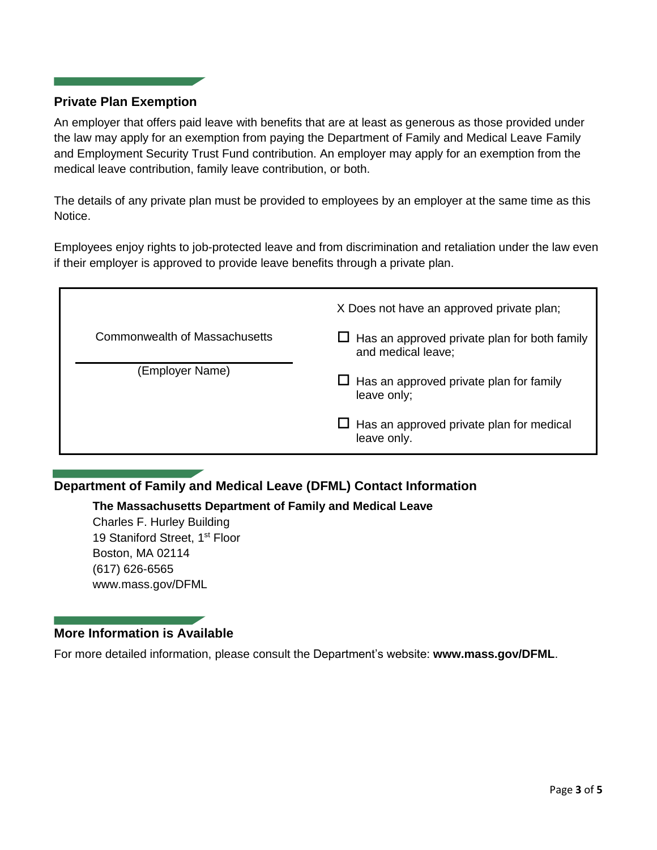#### **Private Plan Exemption**

An employer that offers paid leave with benefits that are at least as generous as those provided under the law may apply for an exemption from paying the Department of Family and Medical Leave Family and Employment Security Trust Fund contribution. An employer may apply for an exemption from the medical leave contribution, family leave contribution, or both.

The details of any private plan must be provided to employees by an employer at the same time as this Notice.

Employees enjoy rights to job-protected leave and from discrimination and retaliation under the law even if their employer is approved to provide leave benefits through a private plan.

|                                                  | X Does not have an approved private plan;                                                                                                  |  |  |
|--------------------------------------------------|--------------------------------------------------------------------------------------------------------------------------------------------|--|--|
| Commonwealth of Massachusetts<br>(Employer Name) | $\Box$ Has an approved private plan for both family<br>and medical leave;<br>$\Box$ Has an approved private plan for family<br>leave only; |  |  |
|                                                  |                                                                                                                                            |  |  |

## **Department of Family and Medical Leave (DFML) Contact Information**

**The Massachusetts Department of Family and Medical Leave**

Charles F. Hurley Building 19 Staniford Street, 1<sup>st</sup> Floor Boston, MA 02114 (617) 626-6565 www.mass.gov/DFML

## **More Information is Available**

For more detailed information, please consult the Department's website: **www.mass.gov/DFML**.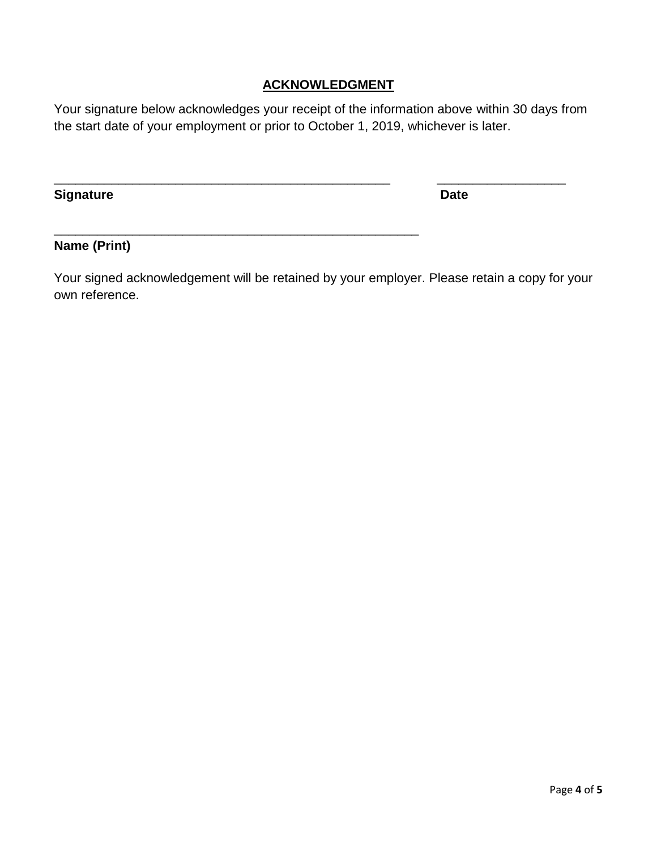## **ACKNOWLEDGMENT**

Your signature below acknowledges your receipt of the information above within 30 days from the start date of your employment or prior to October 1, 2019, whichever is later.

\_\_\_\_\_\_\_\_\_\_\_\_\_\_\_\_\_\_\_\_\_\_\_\_\_\_\_\_\_\_\_\_\_\_\_\_\_\_\_\_\_\_\_\_\_\_\_ \_\_\_\_\_\_\_\_\_\_\_\_\_\_\_\_\_\_

\_\_\_\_\_\_\_\_\_\_\_\_\_\_\_\_\_\_\_\_\_\_\_\_\_\_\_\_\_\_\_\_\_\_\_\_\_\_\_\_\_\_\_\_\_\_\_\_\_\_\_

**Signature Date** 

## **Name (Print)**

Your signed acknowledgement will be retained by your employer. Please retain a copy for your own reference.